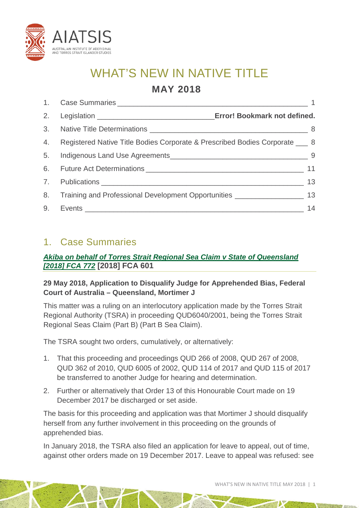

# WHAT'S NEW IN NATIVE TITLE

# **MAY 2018**

| 2. | Error! Bookmark not defined.                                                        |    |
|----|-------------------------------------------------------------------------------------|----|
|    |                                                                                     |    |
|    | 4. Registered Native Title Bodies Corporate & Prescribed Bodies Corporate ___ 8     |    |
| 5. |                                                                                     |    |
|    |                                                                                     | 11 |
|    |                                                                                     | 13 |
| 8. | Training and Professional Development Opportunities ____________________________ 13 |    |
| 9. |                                                                                     | 14 |

# <span id="page-0-0"></span>1. Case Summaries

# *[Akiba on behalf of Torres Strait Regional Sea Claim v State of Queensland](http://www.austlii.edu.au/cgi-bin/viewdoc/au/cases/cth/FCA/2018/772.html)  [\[2018\] FCA 772](http://www.austlii.edu.au/cgi-bin/viewdoc/au/cases/cth/FCA/2018/772.html)* **[2018] FCA 601**

# **29 May 2018, Application to Disqualify Judge for Apprehended Bias, Federal Court of Australia – Queensland, Mortimer J**

This matter was a ruling on an interlocutory application made by the Torres Strait Regional Authority (TSRA) in proceeding QUD6040/2001, being the Torres Strait Regional Seas Claim (Part B) (Part B Sea Claim).

The TSRA sought two orders, cumulatively, or alternatively:

- 1. That this proceeding and proceedings QUD 266 of 2008, QUD 267 of 2008, QUD 362 of 2010, QUD 6005 of 2002, QUD 114 of 2017 and QUD 115 of 2017 be transferred to another Judge for hearing and determination.
- 2. Further or alternatively that Order 13 of this Honourable Court made on 19 December 2017 be discharged or set aside.

The basis for this proceeding and application was that Mortimer J should disqualify herself from any further involvement in this proceeding on the grounds of apprehended bias.

In January 2018, the TSRA also filed an application for leave to appeal, out of time, against other orders made on 19 December 2017. Leave to appeal was refused: see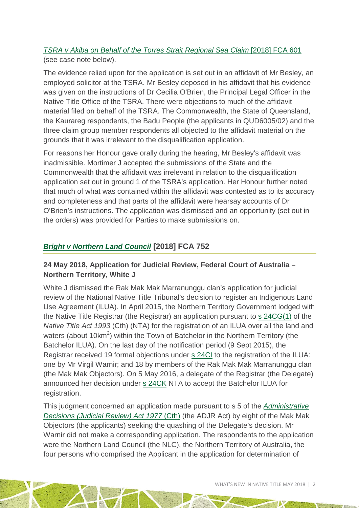### *[TSRA v Akiba on Behalf of the Torres Strait Regional Sea Claim](http://www.austlii.edu.au/cgi-bin/viewdoc/au/cases/cth/FCA/2018/601.html)* [2018] FCA 601 (see case note below).

The evidence relied upon for the application is set out in an affidavit of Mr Besley, an employed solicitor at the TSRA. Mr Besley deposed in his affidavit that his evidence was given on the instructions of Dr Cecilia O'Brien, the Principal Legal Officer in the Native Title Office of the TSRA. There were objections to much of the affidavit material filed on behalf of the TSRA. The Commonwealth, the State of Queensland, the Kaurareg respondents, the Badu People (the applicants in QUD6005/02) and the three claim group member respondents all objected to the affidavit material on the grounds that it was irrelevant to the disqualification application.

For reasons her Honour gave orally during the hearing, Mr Besley's affidavit was inadmissible. Mortimer J accepted the submissions of the State and the Commonwealth that the affidavit was irrelevant in relation to the disqualification application set out in ground 1 of the TSRA's application. Her Honour further noted that much of what was contained within the affidavit was contested as to its accuracy and completeness and that parts of the affidavit were hearsay accounts of Dr O'Brien's instructions. The application was dismissed and an opportunity (set out in the orders) was provided for Parties to make submissions on.

# *[Bright v Northern Land Council](http://www.austlii.edu.au/cgi-bin/viewdoc/au/cases/cth/FCA/2018/752.html)* **[2018] FCA 752**

# **24 May 2018, Application for Judicial Review, Federal Court of Australia – Northern Territory, White J**

White J dismissed the Rak Mak Mak Marranunggu clan's application for judicial review of the National Native Title Tribunal's decision to register an Indigenous Land Use Agreement (ILUA). In April 2015, the Northern Territory Government lodged with the Native Title Registrar (the Registrar) an application pursuant to  $s$  [24CG\(1\)](http://www8.austlii.edu.au/cgi-bin/viewdoc/au/legis/cth/consol_act/nta1993147/s24cg.html) of the *Native Title Act 1993* (Cth) (NTA) for the registration of an ILUA over all the land and waters (about 10 $km^2$ ) within the Town of Batchelor in the Northern Territory (the Batchelor ILUA). On the last day of the notification period (9 Sept 2015), the Registrar received 19 formal objections under [s 24CI](http://www8.austlii.edu.au/cgi-bin/viewdoc/au/legis/cth/consol_act/nta1993147/s24ci.html) to the registration of the ILUA: one by Mr Virgil Warnir; and 18 by members of the Rak Mak Mak Marranunggu clan (the Mak Mak Objectors). On 5 May 2016, a delegate of the Registrar (the Delegate) announced her decision under [s 24CK](http://www8.austlii.edu.au/cgi-bin/viewdoc/au/legis/cth/consol_act/nta1993147/s24ck.html) NTA to accept the Batchelor ILUA for registration.

This judgment concerned an application made pursuant to s 5 of the *[Administrative](http://www8.austlii.edu.au/cgi-bin/viewdoc/au/legis/cth/consol_act/adra1977396/s5.html)  [Decisions \(Judicial Review\) Act 1977](http://www8.austlii.edu.au/cgi-bin/viewdoc/au/legis/cth/consol_act/adra1977396/s5.html)* (Cth) (the ADJR Act) by eight of the Mak Mak Objectors (the applicants) seeking the quashing of the Delegate's decision. Mr Warnir did not make a corresponding application. The respondents to the application were the Northern Land Council (the NLC), the Northern Territory of Australia, the four persons who comprised the Applicant in the application for determination of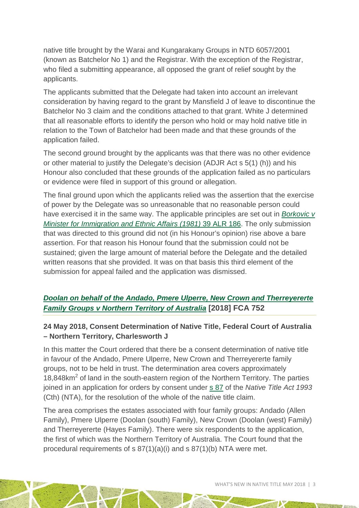native title brought by the Warai and Kungarakany Groups in NTD 6057/2001 (known as Batchelor No 1) and the Registrar. With the exception of the Registrar, who filed a submitting appearance, all opposed the grant of relief sought by the applicants.

The applicants submitted that the Delegate had taken into account an irrelevant consideration by having regard to the grant by Mansfield J of leave to discontinue the Batchelor No 3 claim and the conditions attached to that grant. White J determined that all reasonable efforts to identify the person who hold or may hold native title in relation to the Town of Batchelor had been made and that these grounds of the application failed.

The second ground brought by the applicants was that there was no other evidence or other material to justify the Delegate's decision (ADJR Act s [5\(1\) \(h\)\)](http://www8.austlii.edu.au/cgi-bin/viewdoc/au/legis/cth/consol_act/adra1977396/s5.html) and his Honour also concluded that these grounds of the application failed as no particulars or evidence were filed in support of this ground or allegation.

The final ground upon which the applicants relied was the assertion that the exercise of power by the Delegate was so unreasonable that no reasonable person could have exercised it in the same way. The applicable principles are set out in *[Borkovic v](http://www.austlii.edu.au/cgi-bin/viewdoc/au/cases/cth/FCA/1981/210.html?context=1;query=Borkovic%20;mask_path=au/cases/cth/FCA)  [Minister for Immigration and Ethnic Affairs](http://www.austlii.edu.au/cgi-bin/viewdoc/au/cases/cth/FCA/1981/210.html?context=1;query=Borkovic%20;mask_path=au/cases/cth/FCA) (1981)* 39 ALR 186. The only submission that was directed to this ground did not (in his Honour's opinion) rise above a bare assertion. For that reason his Honour found that the submission could not be sustained; given the large amount of material before the Delegate and the detailed written reasons that she provided. It was on that basis this third element of the submission for appeal failed and the application was dismissed.

# *[Doolan on behalf of the Andado, Pmere Ulperre, New Crown and Therreyererte](http://www.austlii.edu.au/cgi-bin/viewdoc/au/cases/cth/FCA/2018/709.html)  [Family Groups v Northern Territory of Australia](http://www.austlii.edu.au/cgi-bin/viewdoc/au/cases/cth/FCA/2018/709.html)* **[2018] FCA 752**

### **24 May 2018, Consent Determination of Native Title, Federal Court of Australia – Northern Territory, Charlesworth J**

In this matter the Court ordered that there be a consent determination of native title in favour of the Andado, Pmere Ulperre, New Crown and Therreyererte family groups, not to be held in trust. The determination area covers approximately 18,848 $km<sup>2</sup>$  of land in the south-eastern region of the Northern Territory. The parties joined in an application for orders by consent under s [87](http://www.austlii.edu.au/cgi-bin/viewdoc/au/legis/cth/consol_act/nta1993147/s87.html) of the *Native Title Act 1993* (Cth) (NTA), for the resolution of the whole of the native title claim.

The area comprises the estates associated with four family groups: Andado (Allen Family), Pmere Ulperre (Doolan (south) Family), New Crown (Doolan (west) Family) and Therreyererte (Hayes Family). There were six respondents to the application, the first of which was the Northern Territory of Australia. The Court found that the procedural requirements of s 87(1)(a)(i) and s 87(1)(b) NTA were met.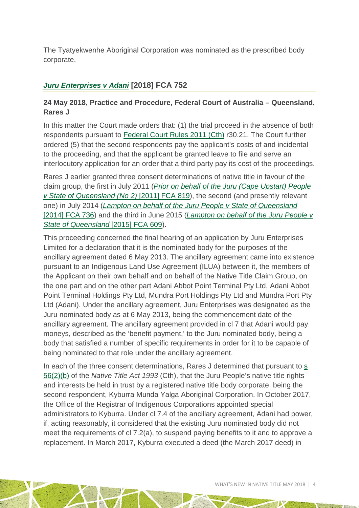The Tyatyekwenhe Aboriginal Corporation was nominated as the prescribed body corporate.

# *[Juru Enterprises v Adani](http://www.austlii.edu.au/cgi-bin/viewdoc/au/cases/cth/FCA/2018/870.html)* **[2018] FCA 752**

### **24 May 2018, Practice and Procedure, Federal Court of Australia – Queensland, Rares J**

In this matter the Court made orders that: (1) the trial proceed in the absence of both respondents pursuant to [Federal Court Rules 2011 \(Cth\)](http://www6.austlii.edu.au/cgi-bin/viewdb/au/legis/cth/num_reg/fcr2011n134o2011269/) r30.21. The Court further ordered (5) that the second respondents pay the applicant's costs of and incidental to the proceeding, and that the applicant be granted leave to file and serve an interlocutory application for an order that a third party pay its cost of the proceedings.

Rares J earlier granted three consent determinations of native title in favour of the claim group, the first in July 2011 (*[Prior on behalf of the Juru \(Cape Upstart\) People](http://www.austlii.edu.au/cgi-bin/viewdoc/au/cases/cth/FCA/2011/819.html)  [v State of Queensland \(No 2\)](http://www.austlii.edu.au/cgi-bin/viewdoc/au/cases/cth/FCA/2011/819.html)* [2011] FCA 819), the second (and presently relevant one) in July 2014 (*[Lampton on behalf of the Juru People v State of Queensland](http://www.austlii.edu.au/cgi-bin/viewdoc/au/cases/cth/FCA/2014/736.html?context=1;query=Lampton%20on%20behalf%20of;mask_path=au/cases/cth/FCA)* [\[2014\] FCA 736\)](http://www.austlii.edu.au/cgi-bin/viewdoc/au/cases/cth/FCA/2014/736.html?context=1;query=Lampton%20on%20behalf%20of;mask_path=au/cases/cth/FCA) and the third in June 2015 (*[Lampton on behalf of the Juru People v](http://www.austlii.edu.au/cgi-bin/viewdoc/au/cases/cth/FCA/2015/609.html?context=1;query=Lampton%20on%20behalf%20of;mask_path=au/cases/cth/FCA)  [State of Queensland](http://www.austlii.edu.au/cgi-bin/viewdoc/au/cases/cth/FCA/2015/609.html?context=1;query=Lampton%20on%20behalf%20of;mask_path=au/cases/cth/FCA)* [2015] FCA 609).

This proceeding concerned the final hearing of an application by Juru Enterprises Limited for a declaration that it is the nominated body for the purposes of the ancillary agreement dated 6 May 2013. The ancillary agreement came into existence pursuant to an Indigenous Land Use Agreement (ILUA) between it, the members of the Applicant on their own behalf and on behalf of the Native Title Claim Group, on the one part and on the other part Adani Abbot Point Terminal Pty Ltd, Adani Abbot Point Terminal Holdings Pty Ltd, Mundra Port Holdings Pty Ltd and Mundra Port Pty Ltd (Adani). Under the ancillary agreement, Juru Enterprises was designated as the Juru nominated body as at 6 May 2013, being the commencement date of the ancillary agreement. The ancillary agreement provided in cl 7 that Adani would pay moneys, described as the 'benefit payment,' to the Juru nominated body, being a body that satisfied a number of specific requirements in order for it to be capable of being nominated to that role under the ancillary agreement.

In each of the three consent determinations, Rares J determined that pursuant to [s](http://www8.austlii.edu.au/cgi-bin/viewdoc/au/legis/cth/consol_act/nta1993147/s56.html)  [56\(2\)\(b\)](http://www8.austlii.edu.au/cgi-bin/viewdoc/au/legis/cth/consol_act/nta1993147/s56.html) of the *Native Title Act 1993* (Cth), that the Juru People's native title rights and interests be held in trust by a registered native title body corporate, being the second respondent, Kyburra Munda Yalga Aboriginal Corporation. In October 2017, the Office of the Registrar of Indigenous Corporations appointed special administrators to Kyburra. Under cl 7.4 of the ancillary agreement, Adani had power, if, acting reasonably, it considered that the existing Juru nominated body did not meet the requirements of cl 7.2(a), to suspend paying benefits to it and to approve a replacement. In March 2017, Kyburra executed a deed (the March 2017 deed) in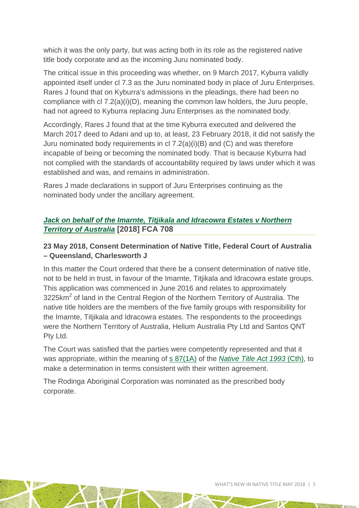which it was the only party, but was acting both in its role as the registered native title body corporate and as the incoming Juru nominated body.

The critical issue in this proceeding was whether, on 9 March 2017, Kyburra validly appointed itself under cl 7.3 as the Juru nominated body in place of Juru Enterprises. Rares J found that on Kyburra's admissions in the pleadings, there had been no compliance with cl 7.2(a)(i)(D), meaning the common law holders, the Juru people, had not agreed to Kyburra replacing Juru Enterprises as the nominated body.

Accordingly, Rares J found that at the time Kyburra executed and delivered the March 2017 deed to Adani and up to, at least, 23 February 2018, it did not satisfy the Juru nominated body requirements in cl 7.2(a)(i)(B) and (C) and was therefore incapable of being or becoming the nominated body. That is because Kyburra had not complied with the standards of accountability required by laws under which it was established and was, and remains in administration.

Rares J made declarations in support of Juru Enterprises continuing as the nominated body under the ancillary agreement.

# *[Jack on behalf of the Imarnte, Titjikala and Idracowra Estates v Northern](http://www.austlii.edu.au/cgi-bin/viewdoc/au/cases/cth/FCA/2018/708.html)  [Territory of Australia](http://www.austlii.edu.au/cgi-bin/viewdoc/au/cases/cth/FCA/2018/708.html)* **[2018] FCA 708**

# **23 May 2018, Consent Determination of Native Title, Federal Court of Australia – Queensland, Charlesworth J**

In this matter the Court ordered that there be a consent determination of native title, not to be held in trust, in favour of the Imarnte, Titjikala and Idracowra estate groups. This application was commenced in June 2016 and relates to approximately 3225km<sup>2</sup> of land in the Central Region of the Northern Territory of Australia. The native title holders are the members of the five family groups with responsibility for the Imarnte, Titjikala and Idracowra estates. The respondents to the proceedings were the Northern Territory of Australia, Helium Australia Pty Ltd and Santos QNT Pty Ltd.

The Court was satisfied that the parties were competently represented and that it was appropriate, within the meaning of s [87\(1A\)](http://www8.austlii.edu.au/cgi-bin/viewdoc/au/legis/cth/consol_act/nta1993147/s87.html) of the *[Native Title Act 1993](http://www8.austlii.edu.au/cgi-bin/viewdb/au/legis/cth/consol_act/nta1993147/)* (Cth), to make a determination in terms consistent with their written agreement.

The Rodinga Aboriginal Corporation was nominated as the prescribed body corporate.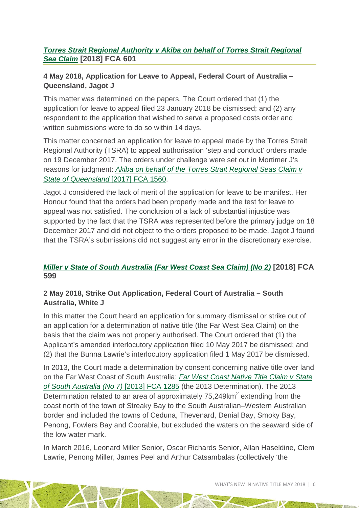### *[Torres Strait Regional Authority v Akiba on behalf of Torres Strait Regional](http://www.austlii.edu.au/cgi-bin/viewdoc/au/cases/cth/FCA/2018/601.html)  [Sea Claim](http://www.austlii.edu.au/cgi-bin/viewdoc/au/cases/cth/FCA/2018/601.html)* **[2018] FCA 601**

### **4 May 2018, Application for Leave to Appeal, Federal Court of Australia – Queensland, Jagot J**

This matter was determined on the papers. The Court ordered that (1) the application for leave to appeal filed 23 January 2018 be dismissed; and (2) any respondent to the application that wished to serve a proposed costs order and written submissions were to do so within 14 days.

This matter concerned an application for leave to appeal made by the Torres Strait Regional Authority (TSRA) to appeal authorisation 'step and conduct' orders made on 19 December 2017. The orders under challenge were set out in Mortimer J's reasons for judgment: *[Akiba on behalf of the Torres Strait Regional Seas Claim v](http://www.austlii.edu.au/cgi-bin/viewdoc/au/cases/cth/FCA/2017/1560.html)  [State of Queensland](http://www.austlii.edu.au/cgi-bin/viewdoc/au/cases/cth/FCA/2017/1560.html)* [2017] FCA 1560.

Jagot J considered the lack of merit of the application for leave to be manifest. Her Honour found that the orders had been properly made and the test for leave to appeal was not satisfied. The conclusion of a lack of substantial injustice was supported by the fact that the TSRA was represented before the primary judge on 18 December 2017 and did not object to the orders proposed to be made. Jagot J found that the TSRA's submissions did not suggest any error in the discretionary exercise.

# *[Miller v State of South Australia \(Far West Coast Sea Claim\) \(No 2\)](http://www.austlii.edu.au/cgi-bin/viewdoc/au/cases/cth/FCA/2018/599.html)* **[2018] FCA 599**

### **2 May 2018, Strike Out Application, Federal Court of Australia – South Australia, White J**

In this matter the Court heard an application for summary dismissal or strike out of an application for a determination of native title (the Far West Sea Claim) on the basis that the claim was not properly authorised. The Court ordered that (1) the Applicant's amended interlocutory application filed 10 May 2017 be dismissed; and (2) that the Bunna Lawrie's interlocutory application filed 1 May 2017 be dismissed.

In 2013, the Court made a determination by consent concerning native title over land on the Far West Coast of South Australia: *[Far West Coast Native Title Claim v State](http://www.austlii.edu.au/cgi-bin/viewdoc/au/cases/cth/FCA/2013/1285.html)  [of South Australia \(No 7\)](http://www.austlii.edu.au/cgi-bin/viewdoc/au/cases/cth/FCA/2013/1285.html)* [2013] FCA 1285 (the 2013 Determination). The 2013 Determination related to an area of approximately  $75,249$ km<sup>2</sup> extending from the coast north of the town of Streaky Bay to the South Australian–Western Australian border and included the towns of Ceduna, Thevenard, Denial Bay, Smoky Bay, Penong, Fowlers Bay and Coorabie, but excluded the waters on the seaward side of the low water mark.

In March 2016, Leonard Miller Senior, Oscar Richards Senior, Allan Haseldine, Clem Lawrie, Penong Miller, James Peel and Arthur Catsambalas (collectively 'the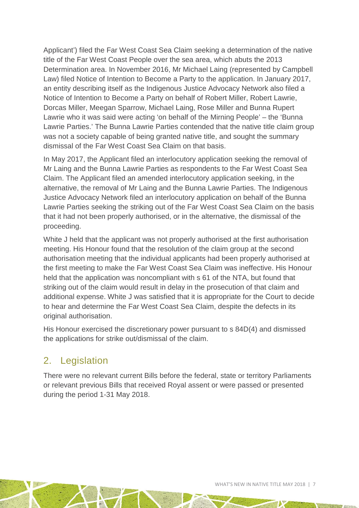Applicant') filed the Far West Coast Sea Claim seeking a determination of the native title of the Far West Coast People over the sea area, which abuts the 2013 Determination area. In November 2016, Mr Michael Laing (represented by Campbell Law) filed Notice of Intention to Become a Party to the application. In January 2017, an entity describing itself as the Indigenous Justice Advocacy Network also filed a Notice of Intention to Become a Party on behalf of Robert Miller, Robert Lawrie, Dorcas Miller, Meegan Sparrow, Michael Laing, Rose Miller and Bunna Rupert Lawrie who it was said were acting 'on behalf of the Mirning People' – the 'Bunna Lawrie Parties.' The Bunna Lawrie Parties contended that the native title claim group was not a society capable of being granted native title, and sought the summary dismissal of the Far West Coast Sea Claim on that basis.

In May 2017, the Applicant filed an interlocutory application seeking the removal of Mr Laing and the Bunna Lawrie Parties as respondents to the Far West Coast Sea Claim. The Applicant filed an amended interlocutory application seeking, in the alternative, the removal of Mr Laing and the Bunna Lawrie Parties. The Indigenous Justice Advocacy Network filed an interlocutory application on behalf of the Bunna Lawrie Parties seeking the striking out of the Far West Coast Sea Claim on the basis that it had not been properly authorised, or in the alternative, the dismissal of the proceeding.

White J held that the applicant was not properly authorised at the first authorisation meeting. His Honour found that the resolution of the claim group at the second authorisation meeting that the individual applicants had been properly authorised at the first meeting to make the Far West Coast Sea Claim was ineffective. His Honour held that the application was noncompliant with s 61 of the NTA, but found that striking out of the claim would result in delay in the prosecution of that claim and additional expense. White J was satisfied that it is appropriate for the Court to decide to hear and determine the Far West Coast Sea Claim, despite the defects in its original authorisation.

His Honour exercised the discretionary power pursuant to s 84D(4) and dismissed the applications for strike out/dismissal of the claim.

# 2. Legislation

There were no relevant current Bills before the federal, state or territory Parliaments or relevant previous Bills that received Royal assent or were passed or presented during the period 1-31 May 2018.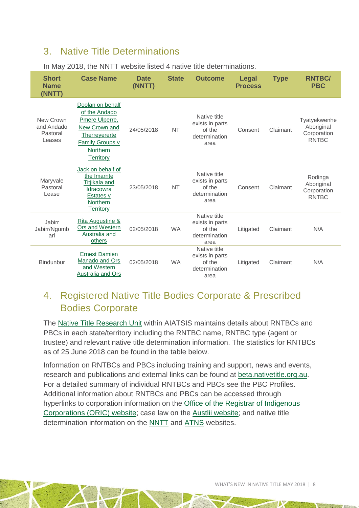# <span id="page-7-0"></span>3. Native Title Determinations

| <b>Short</b><br><b>Name</b><br>(NNTT)         | <b>Case Name</b>                                                                                                                         | <b>Date</b><br>(NNTT) | <b>State</b> | <b>Outcome</b>                                                     | <b>Legal</b><br><b>Process</b> | <b>Type</b> | <b>RNTBC/</b><br><b>PBC</b>                               |
|-----------------------------------------------|------------------------------------------------------------------------------------------------------------------------------------------|-----------------------|--------------|--------------------------------------------------------------------|--------------------------------|-------------|-----------------------------------------------------------|
| New Crown<br>and Andado<br>Pastoral<br>Leases | Doolan on behalf<br>of the Andado<br>Pmere Ulperre,<br>New Crown and<br>Therreyererte<br>Family Groups v<br>Northern<br><b>Territory</b> | 24/05/2018            | <b>NT</b>    | Native title<br>exists in parts<br>of the<br>determination<br>area | Consent                        | Claimant    | Tyatyekwenhe<br>Aboriginal<br>Corporation<br><b>RNTBC</b> |
| Maryvale<br>Pastoral<br>Lease                 | Jack on behalf of<br>the Imarnte<br>Titjikala and<br>Idracowra<br>Estates v<br><b>Northern</b><br><b>Territory</b>                       | 23/05/2018            | <b>NT</b>    | Native title<br>exists in parts<br>of the<br>determination<br>area | Consent                        | Claimant    | Rodinga<br>Aboriginal<br>Corporation<br><b>RNTBC</b>      |
| Jabirr<br>Jabirr/Ngumb<br>arl                 | Rita Augustine &<br>Ors and Western<br>Australia and<br>others                                                                           | 02/05/2018            | <b>WA</b>    | Native title<br>exists in parts<br>of the<br>determination<br>area | Litigated                      | Claimant    | N/A                                                       |
| <b>Bindunbur</b>                              | <b>Ernest Damien</b><br>Manado and Ors<br>and Western<br>Australia and Ors                                                               | 02/05/2018            | <b>WA</b>    | Native title<br>exists in parts<br>of the<br>determination<br>area | Litigated                      | Claimant    | N/A                                                       |

#### In May 2018, the NNTT website listed 4 native title determinations.

# <span id="page-7-1"></span>4. Registered Native Title Bodies Corporate & Prescribed Bodies Corporate

The [Native Title Research Unit](http://aiatsis.gov.au/research/research-themes/native-title) within AIATSIS maintains details about RNTBCs and PBCs in each state/territory including the RNTBC name, RNTBC type (agent or trustee) and relevant native title determination information. The statistics for RNTBCs as of 25 June 2018 can be found in the table below.

Information on RNTBCs and PBCs including training and support, news and events, research and publications and external links can be found at [beta.nativetitle.org.au.](https://beta.nativetitle.org.au/) For a detailed summary of individual RNTBCs and PBCs see the PBC Profiles. Additional information about RNTBCs and PBCs can be accessed through hyperlinks to corporation information on the [Office of the Registrar of Indigenous](http://www.oric.gov.au/)  [Corporations \(ORIC\) website;](http://www.oric.gov.au/) case law on the [Austlii website;](http://www.austlii.edu.au/) and native title determination information on the [NNTT](http://www.nntt.gov.au/) and [ATNS](http://www.atns.net.au/) websites.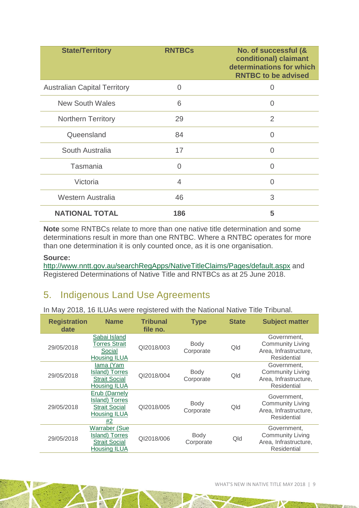| <b>State/Territory</b>              | <b>RNTBCs</b>  | No. of successful (&<br>conditional) claimant<br>determinations for which<br><b>RNTBC to be advised</b> |
|-------------------------------------|----------------|---------------------------------------------------------------------------------------------------------|
| <b>Australian Capital Territory</b> | 0              | 0                                                                                                       |
| <b>New South Wales</b>              | 6              | 0                                                                                                       |
| <b>Northern Territory</b>           | 29             | $\overline{2}$                                                                                          |
| Queensland                          | 84             | Ω                                                                                                       |
| South Australia                     | 17             | 0                                                                                                       |
| Tasmania                            | 0              | 0                                                                                                       |
| Victoria                            | $\overline{4}$ | 0                                                                                                       |
| <b>Western Australia</b>            | 46             | 3                                                                                                       |
| <b>NATIONAL TOTAL</b>               | 186            | 5                                                                                                       |

**Note** some RNTBCs relate to more than one native title determination and some determinations result in more than one RNTBC. Where a RNTBC operates for more than one determination it is only counted once, as it is one organisation.

#### **Source:**

<http://www.nntt.gov.au/searchRegApps/NativeTitleClaims/Pages/default.aspx> and Registered Determinations of Native Title and RNTBCs as at 25 June 2018.

# <span id="page-8-0"></span>5. Indigenous Land Use Agreements

In May 2018, 16 ILUAs were registered with the National Native Title Tribunal.

| <b>Registration</b><br><b>Name</b><br>date |                                                                                       | <b>Tribunal</b><br>file no. | <b>Type</b>              | <b>State</b> | <b>Subject matter</b>                                                          |
|--------------------------------------------|---------------------------------------------------------------------------------------|-----------------------------|--------------------------|--------------|--------------------------------------------------------------------------------|
| 29/05/2018                                 | Sabai Island<br><b>Torres Strait</b><br>Social<br><b>Housing ILUA</b>                 | QI2018/003                  | Body<br>Corporate        | Qld          | Government.<br><b>Community Living</b><br>Area, Infrastructure,<br>Residential |
| 29/05/2018                                 | lama (Yam<br>Island) Torres<br><b>Strait Social</b><br><b>Housing ILUA</b>            | QI2018/004                  | <b>Body</b><br>Corporate | Qld          | Government,<br><b>Community Living</b><br>Area, Infrastructure,<br>Residential |
| 29/05/2018                                 | Erub (Darnely<br>Island) Torres<br><b>Strait Social</b><br><b>Housing ILUA</b><br>#2  | QI2018/005                  | Body<br>Corporate        | Qld          | Government.<br><b>Community Living</b><br>Area, Infrastructure,<br>Residential |
| 29/05/2018                                 | <b>Warraber (Sue</b><br>Island) Torres<br><b>Strait Social</b><br><b>Housing ILUA</b> | QI2018/006                  | Body<br>Corporate        | Qld          | Government,<br><b>Community Living</b><br>Area, Infrastructure,<br>Residential |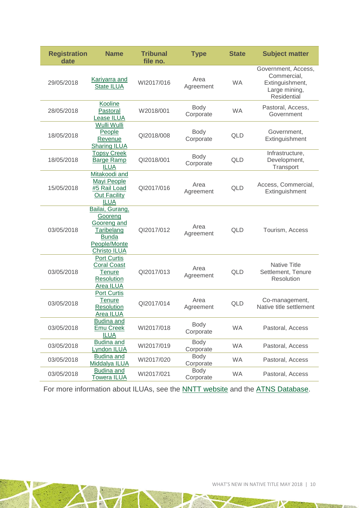| <b>Registration</b><br>date | <b>Name</b>                                                                                                    | <b>Tribunal</b><br>file no. | <b>Type</b>              | <b>State</b> | <b>Subject matter</b>                                                                        |
|-----------------------------|----------------------------------------------------------------------------------------------------------------|-----------------------------|--------------------------|--------------|----------------------------------------------------------------------------------------------|
| 29/05/2018                  | <b>Kariyarra and</b><br><b>State ILUA</b>                                                                      |                             | Area<br>Agreement        | <b>WA</b>    | Government, Access,<br>Commercial,<br>Extinguishment,<br>Large mining,<br><b>Residential</b> |
| 28/05/2018                  | Kooline<br>Pastoral<br><b>Lease ILUA</b>                                                                       | W2018/001                   | Body<br>Corporate        | <b>WA</b>    | Pastoral, Access,<br>Government                                                              |
| 18/05/2018                  | Wulli Wulli<br>People<br>Revenue<br><b>Sharing ILUA</b>                                                        | QI2018/008                  | <b>Body</b><br>Corporate | QLD          | Government,<br>Extinguishment                                                                |
| 18/05/2018                  | <b>Topsy Creek</b><br><b>Barge Ramp</b><br><b>ILUA</b>                                                         | QI2018/001                  | Body<br>Corporate        | <b>QLD</b>   | Infrastructure,<br>Development,<br>Transport                                                 |
| 15/05/2018                  | Mitakoodi and<br>Mayi People<br>#5 Rail Load<br>Out Facility<br><b>ILUA</b>                                    | QI2017/016                  | Area<br>Agreement        | <b>QLD</b>   | Access, Commercial,<br>Extinguishment                                                        |
| 03/05/2018                  | Bailai, Gurang,<br>Gooreng<br>Gooreng and<br>Taribelang<br><b>Bunda</b><br>People/Monte<br><b>Christo ILUA</b> | QI2017/012                  | Area<br>Agreement        | <b>QLD</b>   | Tourism, Access                                                                              |
| 03/05/2018                  | <b>Port Curtis</b><br><b>Coral Coast</b><br><b>Tenure</b><br>Resolution<br>Area ILUA                           | QI2017/013                  | Area<br>Agreement        | QLD          | <b>Native Title</b><br>Settlement, Tenure<br>Resolution                                      |
| 03/05/2018                  | <b>Port Curtis</b><br><b>Tenure</b><br><b>Resolution</b><br>Area ILUA                                          | QI2017/014                  | Area<br>Agreement        | <b>QLD</b>   | Co-management,<br>Native title settlement                                                    |
| 03/05/2018                  | <b>Budina and</b><br><b>Emu Creek</b><br><b>ILUA</b>                                                           | WI2017/018                  | Body<br>Corporate        | WA           | Pastoral, Access                                                                             |
| 03/05/2018                  | <b>Budina and</b><br>Lyndon ILUA                                                                               | WI2017/019                  | Body<br>Corporate        | <b>WA</b>    | Pastoral, Access                                                                             |
| 03/05/2018                  | Budina and<br>Middalya ILUA                                                                                    | WI2017/020                  | Body<br>Corporate        | <b>WA</b>    | Pastoral, Access                                                                             |
| 03/05/2018                  | <b>Budina and</b><br><b>Towera ILUA</b>                                                                        | WI2017/021                  | Body<br>Corporate        | <b>WA</b>    | Pastoral, Access                                                                             |

For more information about ILUAs, see the **NNTT** website and the **ATNS Database**.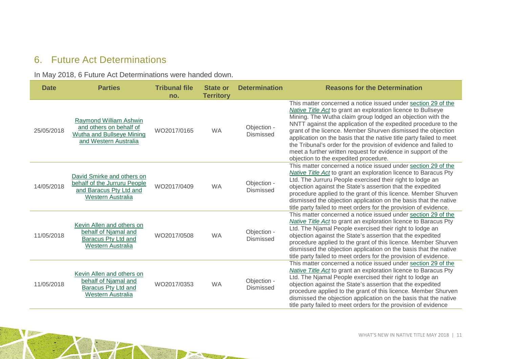# 6. Future Act Determinations

In May 2018, 6 Future Act Determinations were handed down.

<span id="page-10-0"></span>

| <b>Date</b> | <b>Parties</b>                                                                                             | <b>Tribunal file</b><br>no. | <b>State or</b><br><b>Territory</b> | <b>Determination</b>            | <b>Reasons for the Determination</b>                                                                                                                                                                                                                                                                                                                                                                                                                                                                                                                                                      |
|-------------|------------------------------------------------------------------------------------------------------------|-----------------------------|-------------------------------------|---------------------------------|-------------------------------------------------------------------------------------------------------------------------------------------------------------------------------------------------------------------------------------------------------------------------------------------------------------------------------------------------------------------------------------------------------------------------------------------------------------------------------------------------------------------------------------------------------------------------------------------|
| 25/05/2018  | Raymond William Ashwin<br>and others on behalf of<br>Wutha and Bullseye Mining<br>and Western Australia    | WO2017/0165                 | <b>WA</b>                           | Objection -<br>Dismissed        | This matter concerned a notice issued under section 29 of the<br><b>Native Title Act</b> to grant an exploration licence to Bullseye<br>Mining. The Wutha claim group lodged an objection with the<br>NNTT against the application of the expedited procedure to the<br>grant of the licence. Member Shurven dismissed the objection<br>application on the basis that the native title party failed to meet<br>the Tribunal's order for the provision of evidence and failed to<br>meet a further written request for evidence in support of the<br>objection to the expedited procedure. |
| 14/05/2018  | David Smirke and others on<br>behalf of the Jurruru People<br>and Baracus Pty Ltd and<br>Western Australia | WO2017/0409                 | <b>WA</b>                           | Objection -<br><b>Dismissed</b> | This matter concerned a notice issued under section 29 of the<br>Native Title Act to grant an exploration licence to Baracus Pty<br>Ltd. The Jurruru People exercised their right to lodge an<br>objection against the State's assertion that the expedited<br>procedure applied to the grant of this licence. Member Shurven<br>dismissed the objection application on the basis that the native<br>title party failed to meet orders for the provision of evidence.                                                                                                                     |
| 11/05/2018  | Kevin Allen and others on<br>behalf of Njamal and<br>Baracus Pty Ltd and<br>Western Australia              | WO2017/0508                 | <b>WA</b>                           | Objection -<br><b>Dismissed</b> | This matter concerned a notice issued under section 29 of the<br><b>Native Title Act to grant an exploration licence to Baracus Pty</b><br>Ltd. The Njamal People exercised their right to lodge an<br>objection against the State's assertion that the expedited<br>procedure applied to the grant of this licence. Member Shurven<br>dismissed the objection application on the basis that the native<br>title party failed to meet orders for the provision of evidence.                                                                                                               |
| 11/05/2018  | Kevin Allen and others on<br>behalf of Njamal and<br>Baracus Pty Ltd and<br>Western Australia              | WO2017/0353                 | <b>WA</b>                           | Objection -<br><b>Dismissed</b> | This matter concerned a notice issued under section 29 of the<br>Native Title Act to grant an exploration licence to Baracus Pty<br>Ltd. The Njamal People exercised their right to lodge an<br>objection against the State's assertion that the expedited<br>procedure applied to the grant of this licence. Member Shurven<br>dismissed the objection application on the basis that the native<br>title party failed to meet orders for the provision of evidence                                                                                                                       |

The State of the State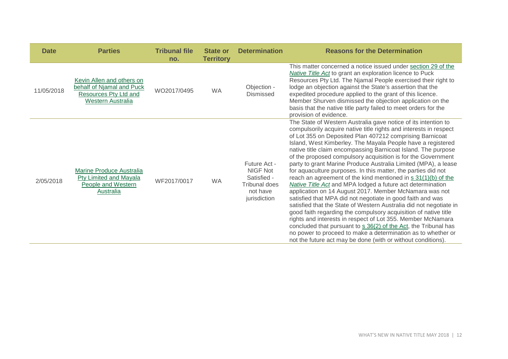| <b>Date</b> | <b>Parties</b>                                                                                       | <b>Tribunal file</b><br>no. | <b>State or</b><br><b>Territory</b> | <b>Determination</b>                                                                 | <b>Reasons for the Determination</b>                                                                                                                                                                                                                                                                                                                                                                                                                                                                                                                                                                                                                                                                                                                                                                                                                                                                                                                                                                                                                                                                                                                                                                        |
|-------------|------------------------------------------------------------------------------------------------------|-----------------------------|-------------------------------------|--------------------------------------------------------------------------------------|-------------------------------------------------------------------------------------------------------------------------------------------------------------------------------------------------------------------------------------------------------------------------------------------------------------------------------------------------------------------------------------------------------------------------------------------------------------------------------------------------------------------------------------------------------------------------------------------------------------------------------------------------------------------------------------------------------------------------------------------------------------------------------------------------------------------------------------------------------------------------------------------------------------------------------------------------------------------------------------------------------------------------------------------------------------------------------------------------------------------------------------------------------------------------------------------------------------|
| 11/05/2018  | Kevin Allen and others on<br>behalf of Njamal and Puck<br>Resources Pty Ltd and<br>Western Australia | WO2017/0495                 | <b>WA</b>                           | Objection -<br>Dismissed                                                             | This matter concerned a notice issued under section 29 of the<br>Native Title Act to grant an exploration licence to Puck<br>Resources Pty Ltd. The Njamal People exercised their right to<br>lodge an objection against the State's assertion that the<br>expedited procedure applied to the grant of this licence.<br>Member Shurven dismissed the objection application on the<br>basis that the native title party failed to meet orders for the<br>provision of evidence.                                                                                                                                                                                                                                                                                                                                                                                                                                                                                                                                                                                                                                                                                                                              |
| 2/05/2018   | <b>Marine Produce Australia</b><br>Pty Limited and Mayala<br>People and Western<br>Australia         | WF2017/0017                 | <b>WA</b>                           | Future Act -<br>NIGF Not<br>Satisfied -<br>Tribunal does<br>not have<br>jurisdiction | The State of Western Australia gave notice of its intention to<br>compulsorily acquire native title rights and interests in respect<br>of Lot 355 on Deposited Plan 407212 comprising Barnicoat<br>Island, West Kimberley. The Mayala People have a registered<br>native title claim encompassing Barnicoat Island. The purpose<br>of the proposed compulsory acquisition is for the Government<br>party to grant Marine Produce Australia Limited (MPA), a lease<br>for aquaculture purposes. In this matter, the parties did not<br>reach an agreement of the kind mentioned in s 31(1)(b) of the<br><b>Native Title Act</b> and MPA lodged a future act determination<br>application on 14 August 2017. Member McNamara was not<br>satisfied that MPA did not negotiate in good faith and was<br>satisfied that the State of Western Australia did not negotiate in<br>good faith regarding the compulsory acquisition of native title<br>rights and interests in respect of Lot 355. Member McNamara<br>concluded that pursuant to s 36(2) of the Act, the Tribunal has<br>no power to proceed to make a determination as to whether or<br>not the future act may be done (with or without conditions). |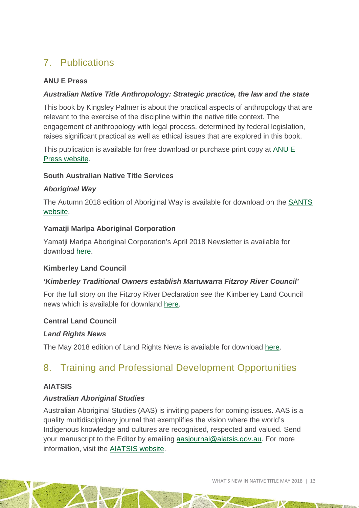# <span id="page-12-0"></span>7. Publications

### **ANU E Press**

### *Australian Native Title Anthropology: Strategic practice, the law and the state*

This book by Kingsley Palmer is about the practical aspects of anthropology that are relevant to the exercise of the discipline within the native title context. The engagement of anthropology with legal process, determined by federal legislation, raises significant practical as well as ethical issues that are explored in this book.

This publication is available for free download or purchase print copy at [ANU E](https://press.anu.edu.au/publications/australian-native-title-anthropology)  [Press website.](https://press.anu.edu.au/publications/australian-native-title-anthropology)

### **South Australian Native Title Services**

#### *Aboriginal Way*

The Autumn 2018 edition of Aboriginal Way is available for download on the [SANTS](https://www.nativetitlesa.org/pdfs/publications/pdf/SAN0086%20Aboriginal%20Way%200418_web.pdf)  [website.](https://www.nativetitlesa.org/pdfs/publications/pdf/SAN0086%20Aboriginal%20Way%200418_web.pdf)

### **Yamatji Marlpa Aboriginal Corporation**

Yamatji Marlpa Aboriginal Corporation's April 2018 Newsletter is available for download [here.](http://ymac.org.au/wp-content/uploads/2018/04/180420-FINAL-YMAC-News-35-web-version.pdf)

### **Kimberley Land Council**

### *'Kimberley Traditional Owners establish Martuwarra Fitzroy River Council'*

For the full story on the Fitzroy River Declaration see the Kimberley Land Council news which is available for downland [here.](https://www.klc.org.au/kimberley-traditional-owners-establish-martuwarra-fitzroy-river-council)

### **Central Land Council**

#### *Land Rights News*

<span id="page-12-1"></span>The May 2018 edition of Land Rights News is available for download [here.](https://www.clc.org.au/land-rights-news/)

# 8. Training and Professional Development Opportunities

### **AIATSIS**

### *Australian Aboriginal Studies*

Australian Aboriginal Studies (AAS) is inviting papers for coming issues. AAS is a quality multidisciplinary journal that exemplifies the vision where the world's Indigenous knowledge and cultures are recognised, respected and valued. Send your manuscript to the Editor by emailing [aasjournal@aiatsis.gov.au.](mailto:aasjournal@aiatsis.gov.au) For more information, visit the [AIATSIS website.](http://aiatsis.gov.au/publications/australian-aboriginal-studies-journal)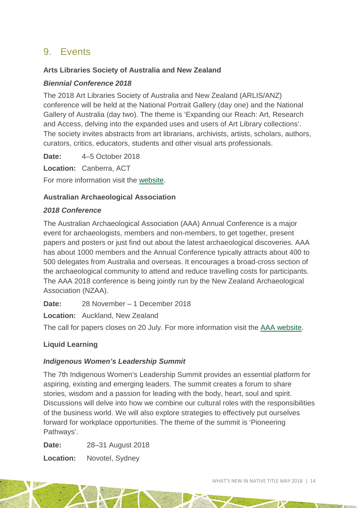# <span id="page-13-0"></span>9. Events

### **Arts Libraries Society of Australia and New Zealand**

### *Biennial Conference 2018*

The 2018 Art Libraries Society of Australia and New Zealand (ARLIS/ANZ) conference will be held at the National Portrait Gallery (day one) and the National Gallery of Australia (day two). The theme is 'Expanding our Reach: Art, Research and Access, delving into the expanded uses and users of Art Library collections'. The society invites abstracts from art librarians, archivists, artists, scholars, authors, curators, critics, educators, students and other visual arts professionals.

**Date:** 4–5 October 2018

**Location:** Canberra, ACT

For more information visit the [website.](https://arlis.org.au/item/call-for-participation-arlis-anz-annual-conference-2018-expanding-our-reach-art-research-and-access)

### **Australian Archaeological Association**

### *2018 Conference*

The Australian Archaeological Association (AAA) Annual Conference is a major event for archaeologists, members and non-members, to get together, present papers and posters or just find out about the latest archaeological discoveries. AAA has about 1000 members and the Annual Conference typically attracts about 400 to 500 delegates from Australia and overseas. It encourages a broad-cross section of the archaeological community to attend and reduce travelling costs for participants. The AAA 2018 conference is being jointly run by the New Zealand Archaeological Association (NZAA).

**Date:** 28 November – 1 December 2018

**Location:** Auckland, New Zealand

The call for papers closes on 20 July. For more information visit the [AAA website.](https://www.australianarchaeologicalassociation.com.au/conference/aaa2018-conference/)

### **Liquid Learning**

### *Indigenous Women's Leadership Summit*

The 7th Indigenous Women's Leadership Summit provides an essential platform for aspiring, existing and emerging leaders. The summit creates a forum to share stories, wisdom and a passion for leading with the body, heart, soul and spirit. Discussions will delve into how we combine our cultural roles with the responsibilities of the business world. We will also explore strategies to effectively put ourselves forward for workplace opportunities. The theme of the summit is 'Pioneering Pathways'.

**Date:** 28–31 August 2018

**Location:** Novotel, Sydney

WHAT'S NEW IN NATIVE TITLE MAY 2018 | 14